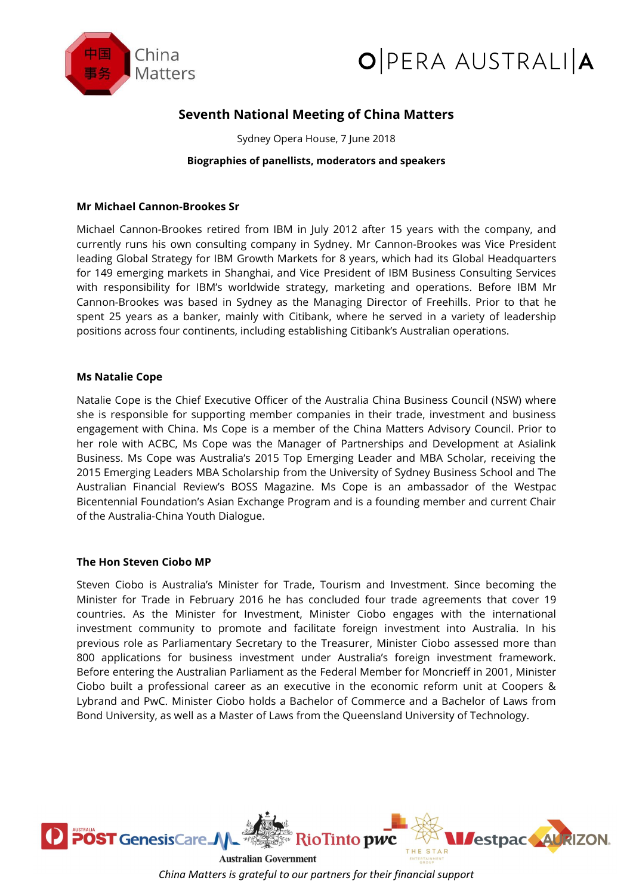



# **Seventh National Meeting of China Matters**

Sydney Opera House, 7 June 2018

# **Biographies of panellists, moderators and speakers**

# **Mr Michael Cannon-Brookes Sr**

Michael Cannon-Brookes retired from IBM in July 2012 after 15 years with the company, and currently runs his own consulting company in Sydney. Mr Cannon-Brookes was Vice President leading Global Strategy for IBM Growth Markets for 8 years, which had its Global Headquarters for 149 emerging markets in Shanghai, and Vice President of IBM Business Consulting Services with responsibility for IBM's worldwide strategy, marketing and operations. Before IBM Mr Cannon-Brookes was based in Sydney as the Managing Director of Freehills. Prior to that he spent 25 years as a banker, mainly with Citibank, where he served in a variety of leadership positions across four continents, including establishing Citibank's Australian operations.

# **Ms Natalie Cope**

Natalie Cope is the Chief Executive Officer of the Australia China Business Council (NSW) where she is responsible for supporting member companies in their trade, investment and business engagement with China. Ms Cope is a member of the China Matters Advisory Council. Prior to her role with ACBC, Ms Cope was the Manager of Partnerships and Development at Asialink Business. Ms Cope was Australia's 2015 Top Emerging Leader and MBA Scholar, receiving the 2015 Emerging Leaders MBA Scholarship from the University of Sydney Business School and The Australian Financial Review's BOSS Magazine. Ms Cope is an ambassador of the Westpac Bicentennial Foundation's Asian Exchange Program and is a founding member and current Chair of the Australia-China Youth Dialogue.

## **The Hon Steven Ciobo MP**

Steven Ciobo is Australia's Minister for Trade, Tourism and Investment. Since becoming the Minister for Trade in February 2016 he has concluded four trade agreements that cover 19 countries. As the Minister for Investment, Minister Ciobo engages with the international investment community to promote and facilitate foreign investment into Australia. In his previous role as Parliamentary Secretary to the Treasurer, Minister Ciobo assessed more than 800 applications for business investment under Australia's foreign investment framework. Before entering the Australian Parliament as the Federal Member for Moncrieff in 2001, Minister Ciobo built a professional career as an executive in the economic reform unit at Coopers & Lybrand and PwC. Minister Ciobo holds a Bachelor of Commerce and a Bachelor of Laws from Bond University, as well as a Master of Laws from the Queensland University of Technology.



*China Matters is grateful to our partners for their financial support*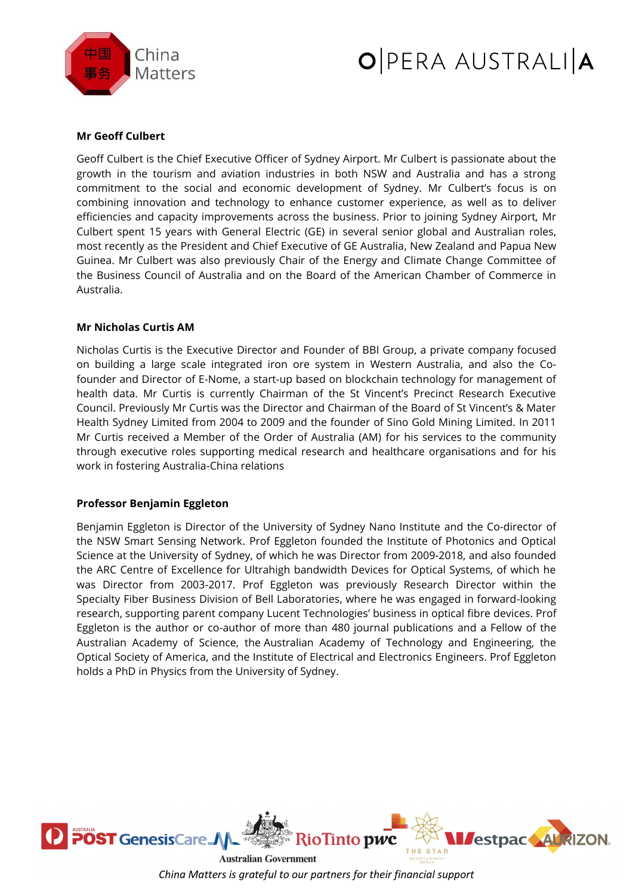



# **Mr Geoff Culbert**

Geoff Culbert is the Chief Executive Officer of Sydney Airport. Mr Culbert is passionate about the growth in the tourism and aviation industries in both NSW and Australia and has a strong commitment to the social and economic development of Sydney. Mr Culbert's focus is on combining innovation and technology to enhance customer experience, as well as to deliver efficiencies and capacity improvements across the business. Prior to joining Sydney Airport, Mr Culbert spent 15 years with General Electric (GE) in several senior global and Australian roles, most recently as the President and Chief Executive of GE Australia, New Zealand and Papua New Guinea. Mr Culbert was also previously Chair of the Energy and Climate Change Committee of the Business Council of Australia and on the Board of the American Chamber of Commerce in Australia.

## **Mr Nicholas Curtis AM**

Nicholas Curtis is the Executive Director and Founder of BBI Group, a private company focused on building a large scale integrated iron ore system in Western Australia, and also the Cofounder and Director of E-Nome, a start-up based on blockchain technology for management of health data. Mr Curtis is currently Chairman of the St Vincent's Precinct Research Executive Council. Previously Mr Curtis was the Director and Chairman of the Board of St Vincent's & Mater Health Sydney Limited from 2004 to 2009 and the founder of Sino Gold Mining Limited. In 2011 Mr Curtis received a Member of the Order of Australia (AM) for his services to the community through executive roles supporting medical research and healthcare organisations and for his work in fostering Australia-China relations

# **Professor Benjamin Eggleton**

Benjamin Eggleton is Director of the University of Sydney Nano Institute and the Co-director of the NSW Smart Sensing Network. Prof Eggleton founded the Institute of Photonics and Optical Science at the University of Sydney, of which he was Director from 2009-2018, and also founded the ARC Centre of Excellence for Ultrahigh bandwidth Devices for Optical Systems, of which he was Director from 2003-2017. Prof Eggleton was previously Research Director within the Specialty Fiber Business Division of Bell Laboratories, where he was engaged in forward-looking research, supporting parent company Lucent Technologies' business in optical fibre devices. Prof Eggleton is the author or co-author of more than 480 journal publications and a Fellow of the Australian Academy of Science, the Australian Academy of Technology and Engineering, the Optical Society of America, and the Institute of Electrical and Electronics Engineers. Prof Eggleton holds a PhD in Physics from the University of Sydney.



**Australian Government** *China Matters is grateful to our partners for their financial support*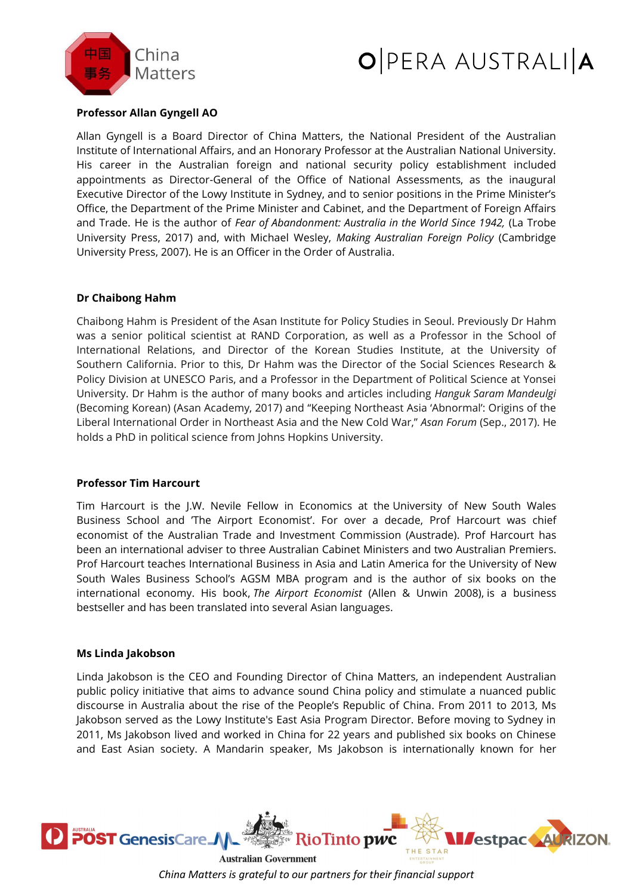

# O PERA AUSTRALIA

# **Professor Allan Gyngell AO**

Allan Gyngell is a Board Director of China Matters, the National President of the Australian Institute of International Affairs, and an Honorary Professor at the Australian National University. His career in the Australian foreign and national security policy establishment included appointments as Director-General of the Office of National Assessments, as the inaugural Executive Director of the Lowy Institute in Sydney, and to senior positions in the Prime Minister's Office, the Department of the Prime Minister and Cabinet, and the Department of Foreign Affairs and Trade. He is the author of *Fear of Abandonment: Australia in the World Since 1942,* (La Trobe University Press, 2017) and, with Michael Wesley, *Making Australian Foreign Policy* (Cambridge University Press, 2007). He is an Officer in the Order of Australia.

# **Dr Chaibong Hahm**

Chaibong Hahm is President of the Asan Institute for Policy Studies in Seoul. Previously Dr Hahm was a senior political scientist at RAND Corporation, as well as a Professor in the School of International Relations, and Director of the Korean Studies Institute, at the University of Southern California. Prior to this, Dr Hahm was the Director of the Social Sciences Research & Policy Division at UNESCO Paris, and a Professor in the Department of Political Science at Yonsei University. Dr Hahm is the author of many books and articles including *Hanguk Saram Mandeulgi* (Becoming Korean) (Asan Academy, 2017) and "Keeping Northeast Asia 'Abnormal': Origins of the Liberal International Order in Northeast Asia and the New Cold War," *Asan Forum* (Sep., 2017). He holds a PhD in political science from Johns Hopkins University.

## **Professor Tim Harcourt**

Tim Harcourt is the J.W. Nevile Fellow in Economics at the University of New South Wales Business School and 'The Airport Economist'. For over a decade, Prof Harcourt was chief economist of the Australian Trade and Investment Commission (Austrade). Prof Harcourt has been an international adviser to three Australian Cabinet Ministers and two Australian Premiers. Prof Harcourt teaches International Business in Asia and Latin America for the University of New South Wales Business School's AGSM MBA program and is the author of six books on the international economy. His book, *The Airport Economist* (Allen & Unwin 2008), is a business bestseller and has been translated into several Asian languages.

## **Ms Linda Jakobson**

Linda Jakobson is the CEO and Founding Director of China Matters, an independent Australian public policy initiative that aims to advance sound China policy and stimulate a nuanced public discourse in Australia about the rise of the People's Republic of China. From 2011 to 2013, Ms Jakobson served as the Lowy Institute's East Asia Program Director. Before moving to Sydney in 2011, Ms Jakobson lived and worked in China for 22 years and published six books on Chinese and East Asian society. A Mandarin speaker, Ms Jakobson is internationally known for her



*China Matters is grateful to our partners for their financial support*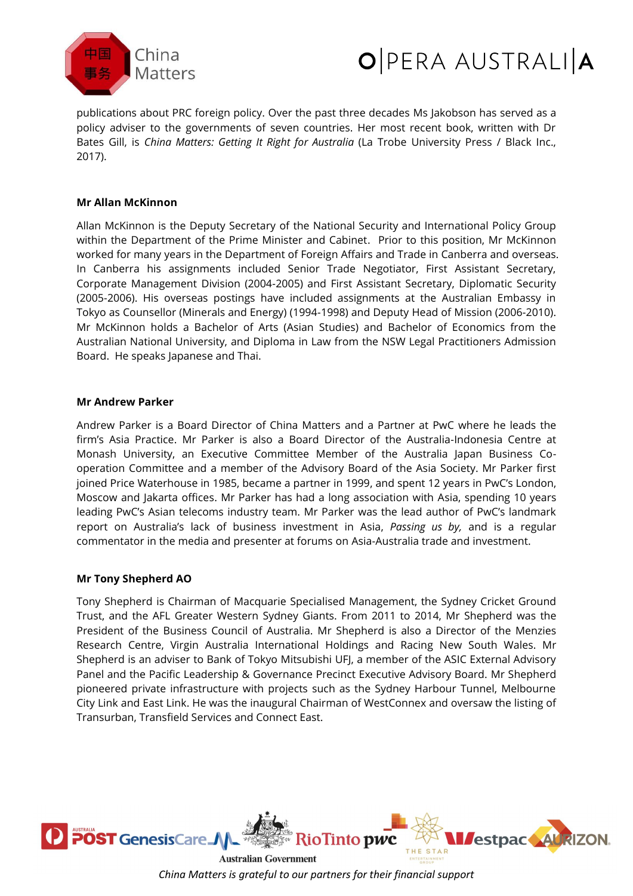



publications about PRC foreign policy. Over the past three decades Ms Jakobson has served as a policy adviser to the governments of seven countries. Her most recent book, written with Dr Bates Gill, is *China Matters: Getting It Right for Australia* (La Trobe University Press / Black Inc., 2017).

# **Mr Allan McKinnon**

Allan McKinnon is the Deputy Secretary of the National Security and International Policy Group within the Department of the Prime Minister and Cabinet. Prior to this position, Mr McKinnon worked for many years in the Department of Foreign Affairs and Trade in Canberra and overseas. In Canberra his assignments included Senior Trade Negotiator, First Assistant Secretary, Corporate Management Division (2004-2005) and First Assistant Secretary, Diplomatic Security (2005-2006). His overseas postings have included assignments at the Australian Embassy in Tokyo as Counsellor (Minerals and Energy) (1994-1998) and Deputy Head of Mission (2006-2010). Mr McKinnon holds a Bachelor of Arts (Asian Studies) and Bachelor of Economics from the Australian National University, and Diploma in Law from the NSW Legal Practitioners Admission Board. He speaks Japanese and Thai.

## **Mr Andrew Parker**

Andrew Parker is a Board Director of China Matters and a Partner at PwC where he leads the firm's Asia Practice. Mr Parker is also a Board Director of the Australia-Indonesia Centre at Monash University, an Executive Committee Member of the Australia Japan Business Cooperation Committee and a member of the Advisory Board of the Asia Society. Mr Parker first joined Price Waterhouse in 1985, became a partner in 1999, and spent 12 years in PwC's London, Moscow and Jakarta offices. Mr Parker has had a long association with Asia, spending 10 years leading PwC's Asian telecoms industry team. Mr Parker was the lead author of PwC's landmark report on Australia's lack of business investment in Asia, *Passing us by,* and is a regular commentator in the media and presenter at forums on Asia-Australia trade and investment.

## **Mr Tony Shepherd AO**

Tony Shepherd is Chairman of Macquarie Specialised Management, the Sydney Cricket Ground Trust, and the AFL Greater Western Sydney Giants. From 2011 to 2014, Mr Shepherd was the President of the Business Council of Australia. Mr Shepherd is also a Director of the Menzies Research Centre, Virgin Australia International Holdings and Racing New South Wales. Mr Shepherd is an adviser to Bank of Tokyo Mitsubishi UFJ, a member of the ASIC External Advisory Panel and the Pacific Leadership & Governance Precinct Executive Advisory Board. Mr Shepherd pioneered private infrastructure with projects such as the Sydney Harbour Tunnel, Melbourne City Link and East Link. He was the inaugural Chairman of WestConnex and oversaw the listing of Transurban, Transfield Services and Connect East.



**Australian Government** *China Matters is grateful to our partners for their financial support*